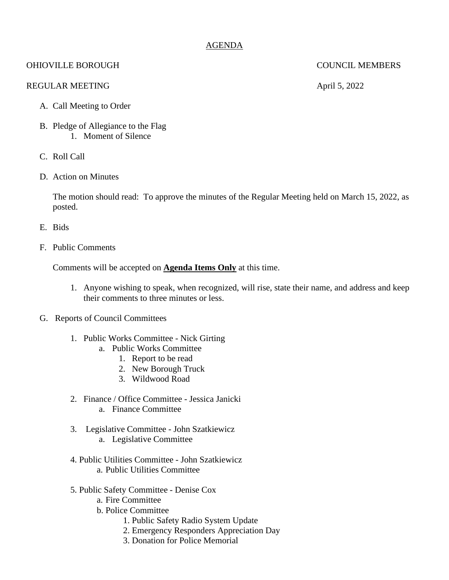# AGENDA

# OHIOVILLE BOROUGH COUNCIL MEMBERS

## REGULAR MEETING April 5, 2022

- A. Call Meeting to Order
- B. Pledge of Allegiance to the Flag 1. Moment of Silence
- C. Roll Call
- D. Action on Minutes

The motion should read: To approve the minutes of the Regular Meeting held on March 15, 2022, as posted.

- E. Bids
- F. Public Comments

Comments will be accepted on **Agenda Items Only** at this time.

- 1. Anyone wishing to speak, when recognized, will rise, state their name, and address and keep their comments to three minutes or less.
- G. Reports of Council Committees
	- 1. Public Works Committee Nick Girting
		- a. Public Works Committee
			- 1. Report to be read
			- 2. New Borough Truck
			- 3. Wildwood Road
	- 2. Finance / Office Committee Jessica Janicki a. Finance Committee
	- 3. Legislative Committee John Szatkiewicz a. Legislative Committee
	- 4. Public Utilities Committee John Szatkiewicz a. Public Utilities Committee
	- 5. Public Safety Committee Denise Cox
		- a. Fire Committee
		- b. Police Committee
			- 1. Public Safety Radio System Update
			- 2. Emergency Responders Appreciation Day
			- 3. Donation for Police Memorial